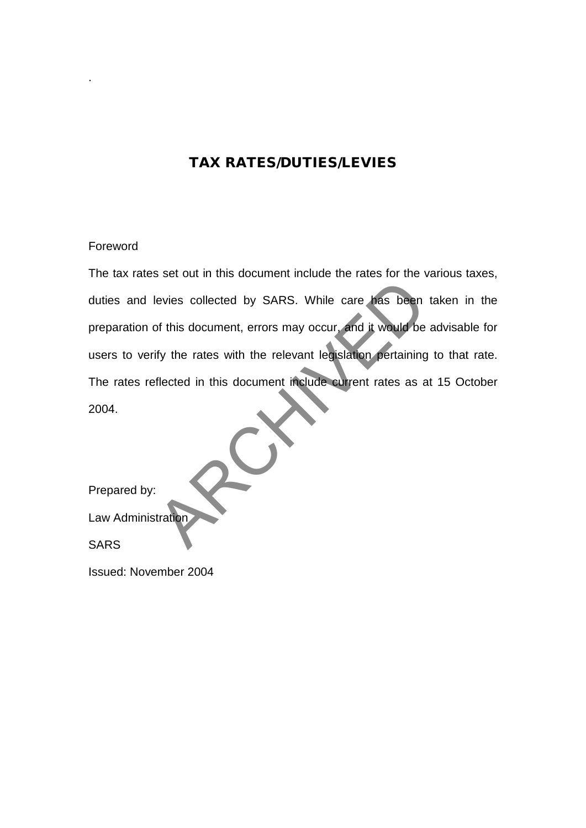# TAX RATES/DUTIES/LEVIES

# Foreword

.

The tax rates set out in this document include the rates for the various taxes, duties and levies collected by SARS. While care has been taken in the preparation of this document, errors may occur, and it would be advisable for users to verify the rates with the relevant legislation pertaining to that rate. The rates reflected in this document include current rates as at 15 October 2004. Nevies collected by SARS. While care has been<br>of this document, errors may occur, and it would be<br>ify the rates with the relevant legislation pertaining<br>flected in this document include current rates as a<br>stration

Prepared by:

Law Administration

**SARS** 

Issued: November 2004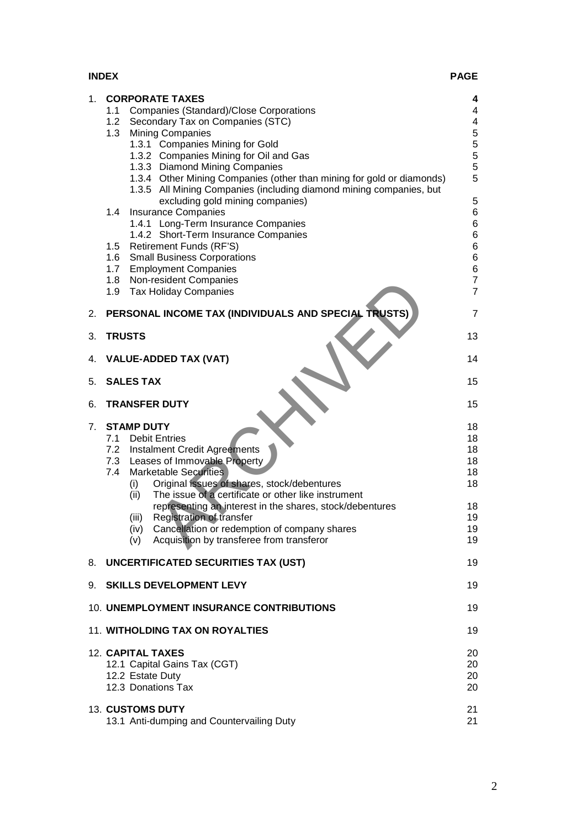| <b>INDEX</b> | <b>PAGE</b> |
|--------------|-------------|
|              |             |

| 1. | <b>CORPORATE TAXES</b><br><b>Companies (Standard)/Close Corporations</b><br>1.1<br>1.2<br>Secondary Tax on Companies (STC)                                                                                                                                                                                                             | 4<br>4<br>$\overline{\mathbf{4}}$                         |
|----|----------------------------------------------------------------------------------------------------------------------------------------------------------------------------------------------------------------------------------------------------------------------------------------------------------------------------------------|-----------------------------------------------------------|
|    | <b>Mining Companies</b><br>1.3<br>1.3.1 Companies Mining for Gold<br>1.3.2 Companies Mining for Oil and Gas                                                                                                                                                                                                                            | $\mathbf 5$<br>$\begin{array}{c} 5 \\ 5 \\ 5 \end{array}$ |
|    | 1.3.3 Diamond Mining Companies<br>1.3.4 Other Mining Companies (other than mining for gold or diamonds)<br>1.3.5 All Mining Companies (including diamond mining companies, but                                                                                                                                                         | 5                                                         |
|    | excluding gold mining companies)<br><b>Insurance Companies</b><br>1.4<br>1.4.1 Long-Term Insurance Companies<br>1.4.2 Short-Term Insurance Companies                                                                                                                                                                                   | 5<br>6<br>$6\overline{6}$                                 |
|    | 1.5 Retirement Funds (RF'S)<br>1.6 Small Business Corporations<br>1.7 Employment Companies                                                                                                                                                                                                                                             | 6<br>6<br>$\,6$                                           |
|    | 1.8 Non-resident Companies<br>1.9 Tax Holiday Companies                                                                                                                                                                                                                                                                                | $\overline{7}$<br>$\overline{7}$                          |
| 2. | PERSONAL INCOME TAX (INDIVIDUALS AND SPECIAL TRUSTS)                                                                                                                                                                                                                                                                                   | $\overline{7}$                                            |
| 3. | <b>TRUSTS</b>                                                                                                                                                                                                                                                                                                                          | 13                                                        |
| 4. | <b>VALUE-ADDED TAX (VAT)</b>                                                                                                                                                                                                                                                                                                           | 14                                                        |
| 5. | <b>SALES TAX</b>                                                                                                                                                                                                                                                                                                                       | 15                                                        |
| 6. | <b>TRANSFER DUTY</b>                                                                                                                                                                                                                                                                                                                   | 15                                                        |
| 7. | <b>STAMP DUTY</b><br>7.1 Debit Entries<br>7.2 Instalment Credit Agreements<br>7.3 Leases of Immovable Property<br><b>Marketable Securities</b><br>7.4<br>Original issues of shares, stock/debentures<br>(i)<br>The issue of a certificate or other like instrument<br>(ii)<br>representing an interest in the shares, stock/debentures | 18<br>18<br>18<br>18<br>18<br>18<br>18                    |
|    | Registration of transfer<br>(iii)<br>Cancellation or redemption of company shares<br>(iv)<br>Acquisition by transferee from transferor<br>(v)                                                                                                                                                                                          | 19<br>19<br>19                                            |
| 8. | UNCERTIFICATED SECURITIES TAX (UST)                                                                                                                                                                                                                                                                                                    | 19                                                        |
| 9. | <b>SKILLS DEVELOPMENT LEVY</b>                                                                                                                                                                                                                                                                                                         | 19                                                        |
|    | 10. UNEMPLOYMENT INSURANCE CONTRIBUTIONS                                                                                                                                                                                                                                                                                               | 19                                                        |
|    | 11. WITHOLDING TAX ON ROYALTIES                                                                                                                                                                                                                                                                                                        | 19                                                        |
|    | <b>12. CAPITAL TAXES</b><br>12.1 Capital Gains Tax (CGT)<br>12.2 Estate Duty<br>12.3 Donations Tax                                                                                                                                                                                                                                     | 20<br>20<br>20<br>20                                      |
|    | 13. CUSTOMS DUTY<br>13.1 Anti-dumping and Countervailing Duty                                                                                                                                                                                                                                                                          | 21<br>21                                                  |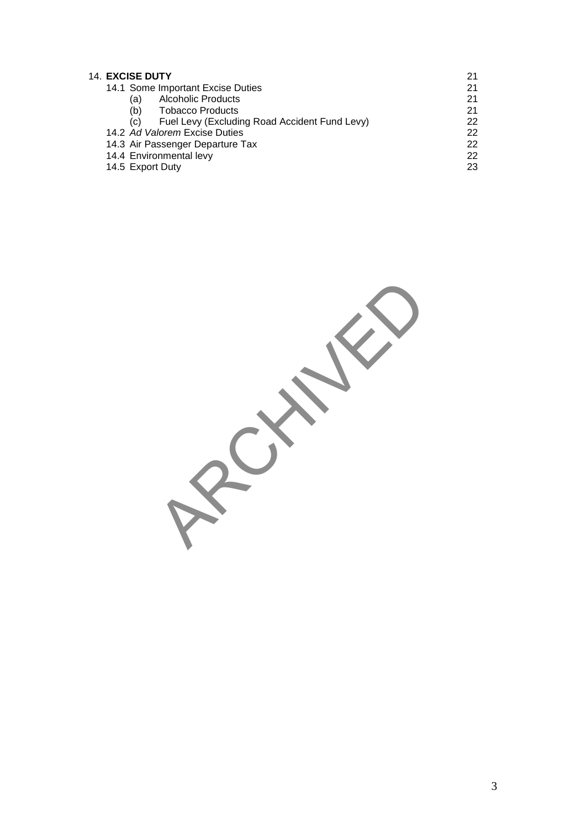| <b>14. EXCISE DUTY</b>                               |    |
|------------------------------------------------------|----|
| 14.1 Some Important Excise Duties                    | 21 |
| <b>Alcoholic Products</b><br>(a)                     | 21 |
| Tobacco Products<br>(b)                              | 21 |
| Fuel Levy (Excluding Road Accident Fund Levy)<br>(C) | 22 |
| 14.2 Ad Valorem Excise Duties                        | 22 |
| 14.3 Air Passenger Departure Tax                     | 22 |
| 14.4 Environmental levy                              | 22 |
| 14.5 Export Duty                                     | 23 |

**RECISION**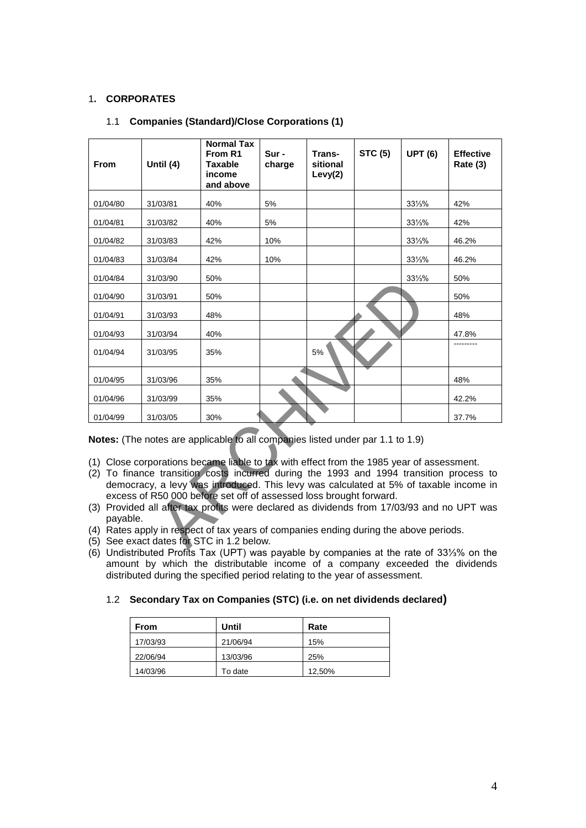# 1**. CORPORATES**

| From                                                                                                                                                                                                                                                                                                                                                                                                                                                                                                                                                                                                                                                                                  | Until (4) | <b>Normal Tax</b><br>From R1<br><b>Taxable</b><br>income<br>and above | Sur-<br>charge | Trans-<br>sitional<br>Levy(2) | <b>STC (5)</b> | <b>UPT (6)</b>    | <b>Effective</b><br>Rate (3) |
|---------------------------------------------------------------------------------------------------------------------------------------------------------------------------------------------------------------------------------------------------------------------------------------------------------------------------------------------------------------------------------------------------------------------------------------------------------------------------------------------------------------------------------------------------------------------------------------------------------------------------------------------------------------------------------------|-----------|-----------------------------------------------------------------------|----------------|-------------------------------|----------------|-------------------|------------------------------|
| 01/04/80                                                                                                                                                                                                                                                                                                                                                                                                                                                                                                                                                                                                                                                                              | 31/03/81  | 40%                                                                   | 5%             |                               |                | 331/3%            | 42%                          |
| 01/04/81                                                                                                                                                                                                                                                                                                                                                                                                                                                                                                                                                                                                                                                                              | 31/03/82  | 40%                                                                   | 5%             |                               |                | 331/3%            | 42%                          |
| 01/04/82                                                                                                                                                                                                                                                                                                                                                                                                                                                                                                                                                                                                                                                                              | 31/03/83  | 42%                                                                   | 10%            |                               |                | 331/3%            | 46.2%                        |
| 01/04/83                                                                                                                                                                                                                                                                                                                                                                                                                                                                                                                                                                                                                                                                              | 31/03/84  | 42%                                                                   | 10%            |                               |                | 331/3%            | 46.2%                        |
| 01/04/84                                                                                                                                                                                                                                                                                                                                                                                                                                                                                                                                                                                                                                                                              | 31/03/90  | 50%                                                                   |                |                               |                | $33\frac{1}{3}\%$ | 50%                          |
| 01/04/90                                                                                                                                                                                                                                                                                                                                                                                                                                                                                                                                                                                                                                                                              | 31/03/91  | 50%                                                                   |                |                               |                |                   | 50%                          |
| 01/04/91                                                                                                                                                                                                                                                                                                                                                                                                                                                                                                                                                                                                                                                                              | 31/03/93  | 48%                                                                   |                |                               |                |                   | 48%                          |
| 01/04/93                                                                                                                                                                                                                                                                                                                                                                                                                                                                                                                                                                                                                                                                              | 31/03/94  | 40%                                                                   |                |                               |                |                   | 47.8%                        |
| 01/04/94                                                                                                                                                                                                                                                                                                                                                                                                                                                                                                                                                                                                                                                                              | 31/03/95  | 35%                                                                   |                | 5%                            |                |                   |                              |
| 01/04/95                                                                                                                                                                                                                                                                                                                                                                                                                                                                                                                                                                                                                                                                              | 31/03/96  | 35%                                                                   |                |                               |                |                   | 48%                          |
| 01/04/96                                                                                                                                                                                                                                                                                                                                                                                                                                                                                                                                                                                                                                                                              | 31/03/99  | 35%                                                                   |                |                               |                |                   | 42.2%                        |
| 01/04/99                                                                                                                                                                                                                                                                                                                                                                                                                                                                                                                                                                                                                                                                              | 31/03/05  | 30%                                                                   |                |                               |                |                   | 37.7%                        |
| Notes: (The notes are applicable to all companies listed under par 1.1 to 1.9)<br>(1) Close corporations became liable to tax with effect from the 1985 year of assessment.<br>(2) To finance transition costs incurred during the 1993 and 1994 transition process to<br>democracy, a levy was introduced. This levy was calculated at 5% of taxable income in<br>excess of R50 000 before set off of assessed loss brought forward.<br>(3) Provided all after tax profits were declared as dividends from 17/03/93 and no UPT was<br>payable.<br>(4) Rates apply in respect of tax years of companies ending during the above periods.<br>(5) See exact dates for STC in 1.2 below. |           |                                                                       |                |                               |                |                   |                              |

## 1.1 **Companies (Standard)/Close Corporations (1)**

- (1) Close corporations became liable to tax with effect from the 1985 year of assessment.
- (2) To finance transition costs incurred during the 1993 and 1994 transition process to democracy, a levy was introduced. This levy was calculated at 5% of taxable income in excess of R50 000 before set off of assessed loss brought forward.
- (3) Provided all after tax profits were declared as dividends from 17/03/93 and no UPT was payable.
- (4) Rates apply in respect of tax years of companies ending during the above periods.
- (5) See exact dates for STC in 1.2 below*.*
- (6) Undistributed Profits Tax (UPT) was payable by companies at the rate of 33⅓% on the amount by which the distributable income of a company exceeded the dividends distributed during the specified period relating to the year of assessment.

# 1.2 **Secondary Tax on Companies (STC) (i.e. on net dividends declared)**

| <b>From</b> | Until    | Rate   |
|-------------|----------|--------|
| 17/03/93    | 21/06/94 | 15%    |
| 22/06/94    | 13/03/96 | 25%    |
| 14/03/96    | To date  | 12,50% |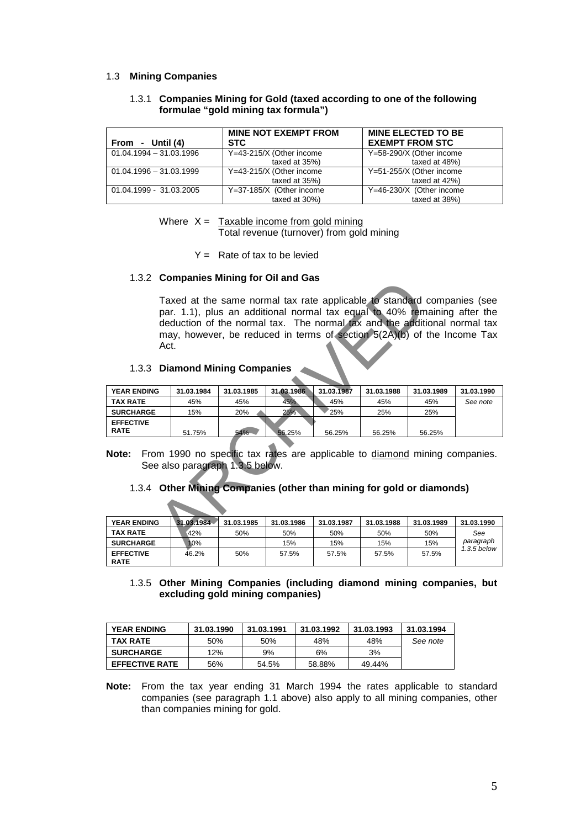#### 1.3 **Mining Companies**

#### 1.3.1 **Companies Mining for Gold (taxed according to one of the following formulae "gold mining tax formula")**

| From - Until (4)          | <b>MINE NOT EXEMPT FROM</b><br><b>STC</b> | <b>MINE ELECTED TO BE</b><br><b>EXEMPT FROM STC</b> |
|---------------------------|-------------------------------------------|-----------------------------------------------------|
| $01.04.1994 - 31.03.1996$ | Y=43-215/X (Other income                  | Y=58-290/X (Other income                            |
|                           | taxed at 35%)                             | taxed at 48%)                                       |
| $01.04.1996 - 31.03.1999$ | Y=43-215/X (Other income                  | Y=51-255/X (Other income                            |
|                           | taxed at 35%)                             | taxed at 42%)                                       |
| 01.04.1999 - 31.03.2005   | Y=37-185/X (Other income                  | Y=46-230/X (Other income                            |
|                           | taxed at 30%)                             | taxed at 38%)                                       |

Where  $X =$  Taxable income from gold mining Total revenue (turnover) from gold mining

 $Y =$  Rate of tax to be levied

#### 1.3.2 **Companies Mining for Oil and Gas**

Taxed at the same normal tax rate applicable to standard companies (see par. 1.1), plus an additional normal tax equal to 40% remaining after the deduction of the normal tax. The normal tax and the additional normal tax may, however, be reduced in terms of section 5(2A)(b) of the Income Tax Act. Taxed at the same normal tax rate applicable to standard<br>par. 1.1), plus an additional normal tax equal to 40% rem<br>deduction of the normal tax. The normal tax and the additional<br>may, however, be reduced in terms of sectio

# 1.3.3 **Diamond Mining Companies**

| <b>YEAR ENDING</b>              | 31.03.1984 | 31.03.1985 | 31.03.1986 | 31.03.1987 | 31.03.1988 | 31.03.1989 | 31.03.1990 |
|---------------------------------|------------|------------|------------|------------|------------|------------|------------|
| <b>TAX RATE</b>                 | 45%        | 45%        | 45%        | 45%        | 45%        | 45%        | See note   |
| <b>SURCHARGE</b>                | 15%        | 20%        | 25%        | 25%        | 25%        | 25%        |            |
| <b>EFFECTIVE</b><br><b>RATE</b> | 51.75%     | 54%        | 56.25%     | 56.25%     | 56.25%     | 56.25%     |            |

**Note:** From 1990 no specific tax rates are applicable to diamond mining companies. See also paragraph 1.3.5 below.

#### 1.3.4 **Other Mining Companies (other than mining for gold or diamonds)**

| <b>YEAR ENDING</b>              | 31.03.1984 | 31.03.1985 | 31.03.1986 | 31.03.1987 | 31.03.1988 | 31.03.1989 | 31.03.1990    |
|---------------------------------|------------|------------|------------|------------|------------|------------|---------------|
| <b>TAX RATE</b>                 | 42%        | 50%        | 50%        | 50%        | 50%        | 50%        | See           |
| <b>SURCHARGE</b>                | 10%        |            | 15%        | 15%        | 15%        | 15%        | paragraph     |
| <b>EFFECTIVE</b><br><b>RATE</b> | 46.2%      | 50%        | 57.5%      | 57.5%      | 57.5%      | 57.5%      | $1.3.5$ below |

### 1.3.5 **Other Mining Companies (including diamond mining companies, but excluding gold mining companies)**

| <b>YEAR ENDING</b>    | 31.03.1990 | 31.03.1991 | 31.03.1992 | 31.03.1993 | 31.03.1994 |
|-----------------------|------------|------------|------------|------------|------------|
| <b>TAX RATE</b>       | 50%        | 50%        | 48%        | 48%        | See note   |
| <b>SURCHARGE</b>      | 12%        | 9%         | 6%         | 3%         |            |
| <b>EFFECTIVE RATE</b> | 56%        | 54.5%      | 58.88%     | 49.44%     |            |

**Note:** From the tax year ending 31 March 1994 the rates applicable to standard companies (see paragraph 1.1 above) also apply to all mining companies, other than companies mining for gold.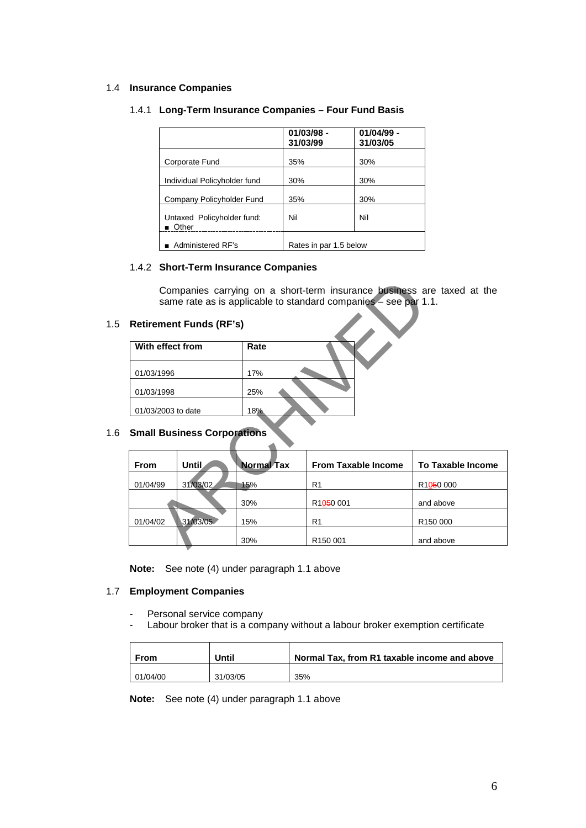## 1.4 **Insurance Companies**

# 1.4.1 **Long-Term Insurance Companies – Four Fund Basis**

|                                                    | $01/03/98 -$<br>31/03/99 | $01/04/99 -$<br>31/03/05 |
|----------------------------------------------------|--------------------------|--------------------------|
| Corporate Fund                                     | 35%                      | 30%                      |
| Individual Policyholder fund                       | 30%                      | 30%                      |
| Company Policyholder Fund                          | 35%                      | 30%                      |
| Untaxed Policyholder fund:<br>$\blacksquare$ Other | Nil                      | Nil                      |
| ■ Administered RF's                                | Rates in par 1.5 below   |                          |

#### 1.4.2 **Short-Term Insurance Companies**

# 1.5 **Retirement Funds (RF's)**

| With effect from   | Rate |  |
|--------------------|------|--|
| 01/03/1996         | 17%  |  |
| 01/03/1998         | 25%  |  |
| 01/03/2003 to date | 18%  |  |
|                    |      |  |

# 1.6 **Small Business Corporations**

| Companies carrying on a short-term insurance business are taxed at the<br>same rate as is applicable to standard companies – see par 1.1. |                                    |                   |                            |                          |  |
|-------------------------------------------------------------------------------------------------------------------------------------------|------------------------------------|-------------------|----------------------------|--------------------------|--|
|                                                                                                                                           | <b>Retirement Funds (RF's)</b>     |                   |                            |                          |  |
| With effect from                                                                                                                          |                                    | Rate              |                            |                          |  |
| 01/03/1996                                                                                                                                |                                    | 17%               |                            |                          |  |
| 01/03/1998                                                                                                                                |                                    | 25%               |                            |                          |  |
| 01/03/2003 to date                                                                                                                        |                                    | 18%               |                            |                          |  |
|                                                                                                                                           | <b>Small Business Corporations</b> |                   |                            |                          |  |
|                                                                                                                                           |                                    |                   |                            |                          |  |
| <b>From</b>                                                                                                                               | Until                              | <b>Normal Tax</b> | <b>From Taxable Income</b> | <b>To Taxable Income</b> |  |
| 01/04/99                                                                                                                                  | 31/03/02                           | 15%               | R <sub>1</sub>             | R1050 000                |  |
|                                                                                                                                           |                                    | 30%               | R <sub>1050</sub> 001      | and above                |  |
| 01/04/02                                                                                                                                  | 31/03/05                           | 15%               | R <sub>1</sub>             | R <sub>150</sub> 000     |  |
|                                                                                                                                           |                                    | 30%               | R <sub>150</sub> 001       | and above                |  |

**Note:** See note (4) under paragraph 1.1 above

# 1.7 **Employment Companies**

- Personal service company
- Labour broker that is a company without a labour broker exemption certificate

| <b>From</b> | Until    | Normal Tax, from R1 taxable income and above |
|-------------|----------|----------------------------------------------|
| 01/04/00    | 31/03/05 | 35%                                          |

**Note:** See note (4) under paragraph 1.1 above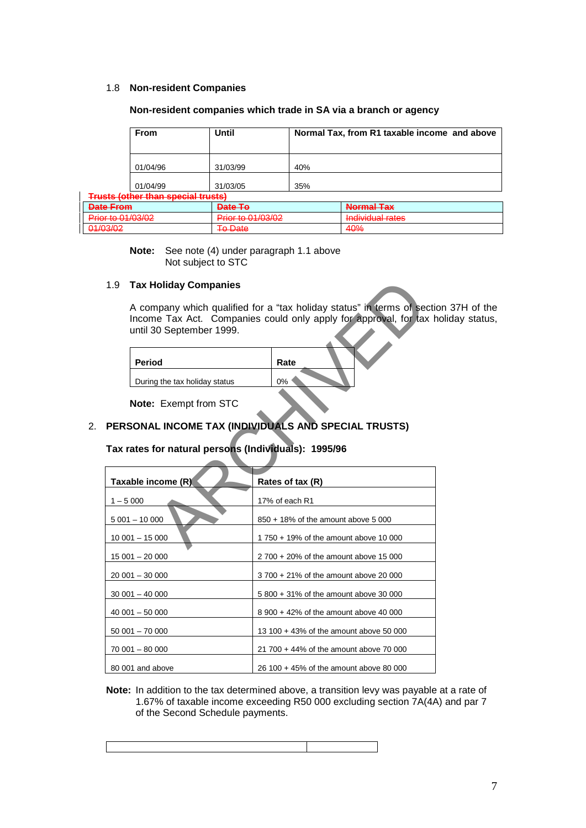## 1.8 **Non-resident Companies**

#### **Non-resident companies which trade in SA via a branch or agency**

| From                       | Until    |     | Normal Tax, from R1 taxable income and above |
|----------------------------|----------|-----|----------------------------------------------|
| 01/04/96                   | 31/03/99 | 40% |                                              |
| 01/04/99                   | 31/03/05 | 35% |                                              |
| othar than engelal truete) |          |     |                                              |

| Date From                                                                                                                                                                                                                                                                                                                                                                                                   | Date To                    | Normal Tav                  |
|-------------------------------------------------------------------------------------------------------------------------------------------------------------------------------------------------------------------------------------------------------------------------------------------------------------------------------------------------------------------------------------------------------------|----------------------------|-----------------------------|
| <del>pate riviii</del>                                                                                                                                                                                                                                                                                                                                                                                      | <b>EXISTEN</b>             | <del>nomarias</del>         |
| $Dirich{f} \cap \bigcap_{n=1}^{\infty} \bigcap_{n=1}^{\infty} \bigcap_{n=1}^{\infty} \bigcap_{n=1}^{\infty} \bigcap_{n=1}^{\infty} \bigcap_{n=1}^{\infty} \bigcap_{n=1}^{\infty} \bigcap_{n=1}^{\infty} \bigcap_{n=1}^{\infty} \bigcap_{n=1}^{\infty} \bigcap_{n=1}^{\infty} \bigcap_{n=1}^{\infty} \bigcap_{n=1}^{\infty} \bigcap_{n=1}^{\infty} \bigcap_{n=1}^{\infty} \bigcap_{n=1}^{\infty} \bigcap_{n$ | $Dirichlet$ 01/03/02       | Individual rates            |
| <b>THE REPORT OF A REPORT OF A STATE</b>                                                                                                                                                                                                                                                                                                                                                                    | <del>THUR to UHUUIUZ</del> | <b>TERMINENTAL PROPERTY</b> |
| 01/03/02                                                                                                                                                                                                                                                                                                                                                                                                    | Eo Date                    | $\Lambda$ <sup>O/</sup>     |
| <del>umuuz</del>                                                                                                                                                                                                                                                                                                                                                                                            | TV PUID                    | <del>1070</del>             |

**Note:** See note (4) under paragraph 1.1 above Not subject to STC

# 1.9 **Tax Holiday Companies**

**Trusts (** 

A company which qualified for a "tax holiday status" in terms of section 37H of the Income Tax Act. Companies could only apply for approval, for tax holiday status, until 30 September 1999.

| <b>Period</b>                 | Rate |
|-------------------------------|------|
| During the tax holiday status | 0%   |

# 2. **PERSONAL INCOME TAX (INDIVIDUALS AND SPECIAL TRUSTS)**

# **Tax rates for natural persons (Individuals): 1995/96**

| <b>Tax Holiday Companies</b><br>1.9                  |                                                                                                                                                |
|------------------------------------------------------|------------------------------------------------------------------------------------------------------------------------------------------------|
| until 30 September 1999.                             | A company which qualified for a "tax holiday status" in terms of section<br>Income Tax Act. Companies could only apply for approval, for tax h |
| <b>Period</b>                                        | Rate                                                                                                                                           |
| During the tax holiday status                        | 0%                                                                                                                                             |
| Note: Exempt from STC                                |                                                                                                                                                |
|                                                      | PERSONAL INCOME TAX (INDIVIDUALS AND SPECIAL TRUSTS)                                                                                           |
| Tax rates for natural persons (Individuals): 1995/96 |                                                                                                                                                |
| Taxable income (R)                                   | Rates of tax (R)                                                                                                                               |
| $1 - 5000$                                           | 17% of each R1                                                                                                                                 |
| $5001 - 10000$                                       | 850 + 18% of the amount above 5 000                                                                                                            |
| $10001 - 15000$                                      | 1750 + 19% of the amount above 10 000                                                                                                          |
| $15001 - 20000$                                      | 2 700 + 20% of the amount above 15 000                                                                                                         |
| $20001 - 30000$                                      | 3 700 + 21% of the amount above 20 000                                                                                                         |
| $30001 - 40000$                                      | 5 800 + 31% of the amount above 30 000                                                                                                         |
| $40001 - 50000$                                      | 8 900 + 42% of the amount above 40 000                                                                                                         |
| $50001 - 70000$                                      | 13 100 + 43% of the amount above 50 000                                                                                                        |
| 70 001 - 80 000                                      | 21 700 + 44% of the amount above 70 000                                                                                                        |
| 80 001 and above                                     | 26 100 + 45% of the amount above 80 000                                                                                                        |

**Note:** In addition to the tax determined above, a transition levy was payable at a rate of 1.67% of taxable income exceeding R50 000 excluding section 7A(4A) and par 7 of the Second Schedule payments.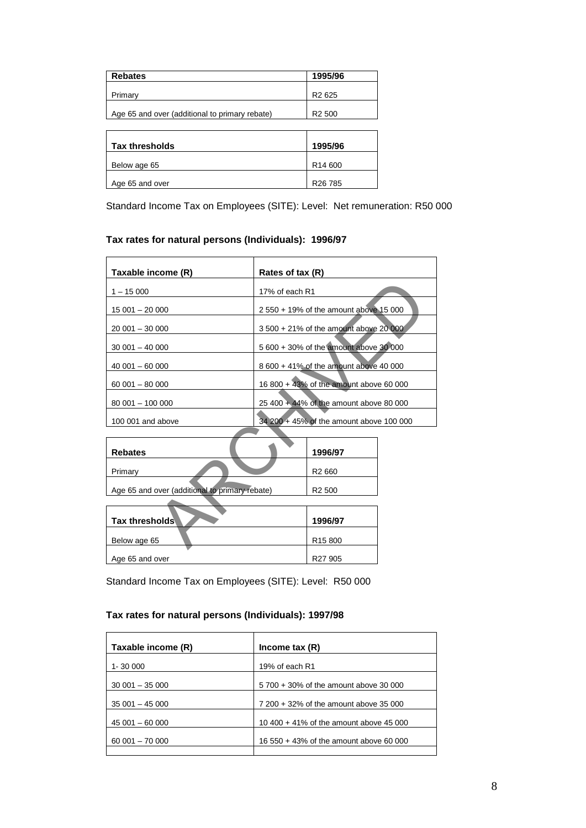| <b>Rebates</b>                                 | 1995/96             |
|------------------------------------------------|---------------------|
| Primary                                        | R <sub>2</sub> 625  |
|                                                |                     |
| Age 65 and over (additional to primary rebate) | R <sub>2</sub> 500  |
|                                                |                     |
|                                                |                     |
| <b>Tax thresholds</b>                          | 1995/96             |
| Below age 65                                   | R <sub>14</sub> 600 |
| Age 65 and over                                | R <sub>26</sub> 785 |

Standard Income Tax on Employees (SITE): Level: Net remuneration: R50 000

# **Tax rates for natural persons (Individuals): 1996/97**

| Taxable income (R)                             | Rates of tax (R) |                                          |  |
|------------------------------------------------|------------------|------------------------------------------|--|
| $1 - 15000$                                    | 17% of each R1   |                                          |  |
| $15001 - 20000$                                |                  | 2 550 + 19% of the amount above 15 000   |  |
| $20001 - 30000$                                |                  | 3 500 + 21% of the amount above 20 000   |  |
| $30001 - 40000$                                |                  | 5 600 + 30% of the amount above 30 000   |  |
| $40001 - 60000$                                |                  | 8 600 + 41% of the amount above 40 000   |  |
| $60001 - 80000$                                |                  | 16 800 + 43% of the amount above 60 000  |  |
| 80 001 - 100 000                               |                  | 25 400 + 44% of the amount above 80 000  |  |
| 100 001 and above                              |                  | 34 200 + 45% of the amount above 100 000 |  |
|                                                |                  |                                          |  |
| <b>Rebates</b>                                 |                  | 1996/97                                  |  |
| Primary                                        |                  | R <sub>2</sub> 660                       |  |
| Age 65 and over (additional to primary rebate) |                  | R <sub>2</sub> 500                       |  |
|                                                |                  |                                          |  |
| Tax thresholds                                 |                  | 1996/97                                  |  |
| Below age 65                                   |                  | R <sub>15</sub> 800                      |  |

| <b>Rebates</b>                                 | 1996/97            |
|------------------------------------------------|--------------------|
| Primary                                        | R <sub>2</sub> 660 |
| Age 65 and over (additional to primary rebate) | R <sub>2</sub> 500 |

| <b>Tax thresholds</b> | 1996/97             |
|-----------------------|---------------------|
| Below age 65          | R <sub>15</sub> 800 |
| Age 65 and over       | R <sub>27</sub> 905 |

Standard Income Tax on Employees (SITE): Level: R50 000

# **Tax rates for natural persons (Individuals): 1997/98**

| Taxable income (R) | Income tax $(R)$                        |
|--------------------|-----------------------------------------|
| 1-30 000           | 19% of each R1                          |
| $30001 - 35000$    | 5 700 + 30% of the amount above 30 000  |
| $35001 - 45000$    | 7 200 + 32% of the amount above 35 000  |
| $45001 - 60000$    | 10 400 + 41% of the amount above 45 000 |
| $60001 - 70000$    | 16 550 + 43% of the amount above 60 000 |
|                    |                                         |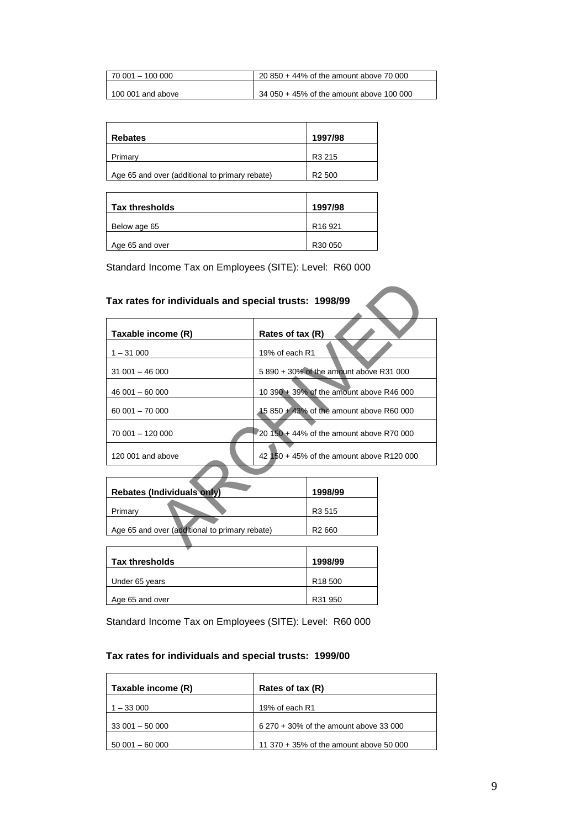| l 70 001 – 100 000 | 20 850 + 44% of the amount above 70 000  |
|--------------------|------------------------------------------|
| 100 001 and above  | 34 050 + 45% of the amount above 100 000 |

| <b>Rebates</b>                                 | 1997/98            |
|------------------------------------------------|--------------------|
| Primary                                        | R <sub>3</sub> 215 |
| Age 65 and over (additional to primary rebate) | R <sub>2</sub> 500 |

| Tax thresholds  | 1997/98             |
|-----------------|---------------------|
| Below age 65    | R <sub>16</sub> 921 |
| Age 65 and over | R30 050             |

|                                                | Rates of tax (R)                            |                                                                         |  |
|------------------------------------------------|---------------------------------------------|-------------------------------------------------------------------------|--|
|                                                |                                             |                                                                         |  |
|                                                | 5 890 + 30% of the amount above R31 000     |                                                                         |  |
|                                                | 10 390 $+$ 39% of the amount above R46 000  |                                                                         |  |
|                                                | 15 850 + 43% of the amount above R60 000    |                                                                         |  |
|                                                | $20,150 + 44\%$ of the amount above R70 000 |                                                                         |  |
| 42 150 + 45% of the amount above R120 000      |                                             |                                                                         |  |
|                                                |                                             |                                                                         |  |
|                                                | 1998/99                                     |                                                                         |  |
|                                                | R <sub>3</sub> 515                          |                                                                         |  |
| Age 65 and over (additional to primary rebate) | R <sub>2</sub> 660                          |                                                                         |  |
|                                                |                                             | Tax rates for individuals and special trusts: 1998/99<br>19% of each R1 |  |

| <b>Rebates (Individuals only)</b>              | 1998/99            |
|------------------------------------------------|--------------------|
| Primary                                        | R <sub>3</sub> 515 |
| Age 65 and over (additional to primary rebate) | R <sub>2</sub> 660 |
|                                                |                    |

| Tax thresholds  | 1998/99             |
|-----------------|---------------------|
| Under 65 years  | R <sub>18</sub> 500 |
| Age 65 and over | R31 950             |

Standard Income Tax on Employees (SITE): Level: R60 000

# **Tax rates for individuals and special trusts: 1999/00**

| Taxable income (R) | Rates of tax (R)                        |
|--------------------|-----------------------------------------|
| $1 - 33000$        | 19% of each R1                          |
| $33001 - 50000$    | 6 270 + 30% of the amount above 33 000  |
| $50001 - 60000$    | 11 370 + 35% of the amount above 50 000 |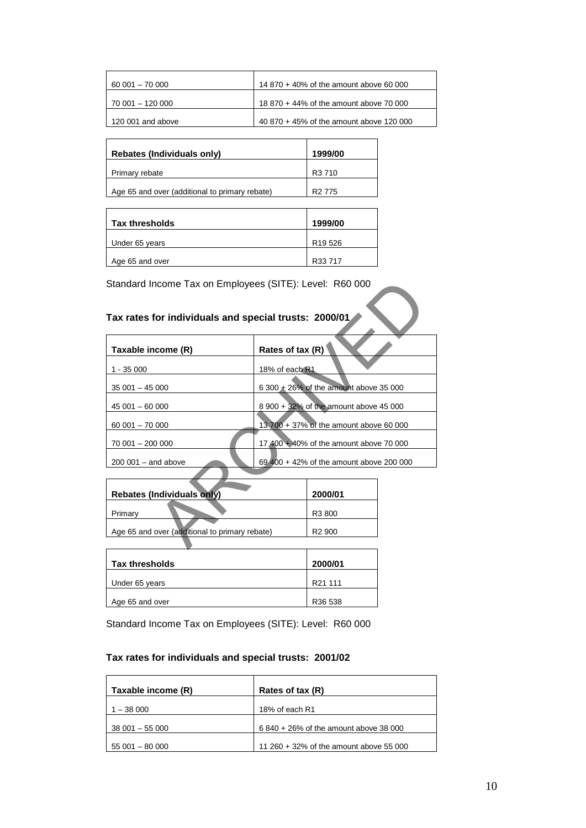| $60001 - 70000$   | 14 870 + 40% of the amount above 60 000  |
|-------------------|------------------------------------------|
| 70 001 - 120 000  | 18 870 + 44% of the amount above 70 000  |
| 120 001 and above | 40 870 + 45% of the amount above 120 000 |

| <b>Rebates (Individuals only)</b>              | 1999/00            |
|------------------------------------------------|--------------------|
| Primary rebate                                 | R <sub>3</sub> 710 |
| Age 65 and over (additional to primary rebate) | R <sub>2</sub> 775 |

| <b>Tax thresholds</b> | 1999/00             |
|-----------------------|---------------------|
| Under 65 years        | R <sub>19</sub> 526 |
| Age 65 and over       | R33 717             |

# **Tax rates for individuals and special trusts: 2000/01**

| Standard Income Tax on Employees (SITE): Level: R60 000 |                                          |                    |  |
|---------------------------------------------------------|------------------------------------------|--------------------|--|
| Tax rates for individuals and special trusts: 2000/01   |                                          |                    |  |
| Taxable income (R)                                      | Rates of tax (R)                         |                    |  |
| $1 - 35000$                                             | 18% of each $R1$                         |                    |  |
| $35001 - 45000$                                         | 6 300 + 26% of the amount above 35 000   |                    |  |
| $45001 - 60000$                                         | 8 900 + 32% of the amount above 45 000   |                    |  |
| $60001 - 70000$                                         | 13,700 + 37% of the amount above 60,000  |                    |  |
| 70 001 - 200 000                                        | 17 400 + 40% of the amount above 70 000  |                    |  |
| $200001 -$ and above                                    | 69 400 + 42% of the amount above 200 000 |                    |  |
|                                                         |                                          |                    |  |
| <b>Rebates (Individuals only)</b>                       |                                          | 2000/01            |  |
| Primary                                                 |                                          | R3 800             |  |
| Age 65 and over (additional to primary rebate)          |                                          | R <sub>2</sub> 900 |  |
|                                                         |                                          |                    |  |

| <b>Rebates (Individuals only)</b>              | 2000/01            |
|------------------------------------------------|--------------------|
| Primary                                        | R <sub>3</sub> 800 |
| Age 65 and over (additional to primary rebate) | R <sub>2</sub> 900 |
|                                                |                    |

| Tax thresholds  | 2000/01             |
|-----------------|---------------------|
| Under 65 years  | R <sub>21</sub> 111 |
| Age 65 and over | R <sub>36</sub> 538 |

Standard Income Tax on Employees (SITE): Level: R60 000

# **Tax rates for individuals and special trusts: 2001/02**

| Taxable income (R) | Rates of tax (R)                        |
|--------------------|-----------------------------------------|
| $1 - 38000$        | 18% of each R1                          |
| $38001 - 55000$    | 6 840 + 26% of the amount above 38 000  |
| $55001 - 80000$    | 11 260 + 32% of the amount above 55 000 |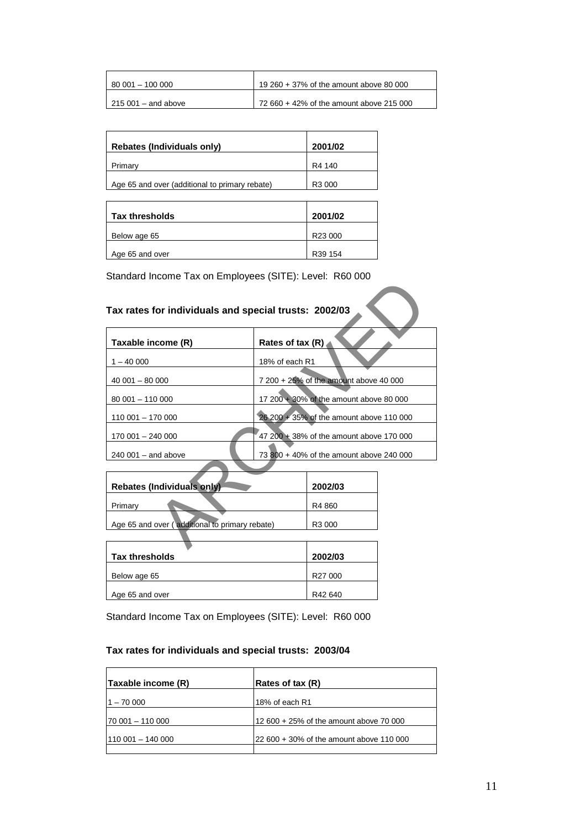| 80 001 - 100 000           | 19 260 + 37% of the amount above 80 000  |
|----------------------------|------------------------------------------|
| $\mid$ 215 001 – and above | 72 660 + 42% of the amount above 215 000 |

| <b>Rebates (Individuals only)</b>              | 2001/02 |
|------------------------------------------------|---------|
| Primary                                        | R4 140  |
| Age 65 and over (additional to primary rebate) | R3 000  |

| <b>Tax thresholds</b> | 2001/02             |
|-----------------------|---------------------|
| Below age 65          | R <sub>23</sub> 000 |
| Age 65 and over       | R39 154             |

# **Tax rates for individuals and special trusts: 2002/03**

| Tax rates for individuals and special trusts: 2002/03 |                                          |
|-------------------------------------------------------|------------------------------------------|
| Taxable income (R)                                    | Rates of tax (R)                         |
| $1 - 40000$                                           | 18% of each R1                           |
| $40001 - 80000$                                       | 7 200 + 25% of the amount above 40 000   |
| 80 001 - 110 000                                      | 17 200 + 30% of the amount above 80 000  |
| 110 001 - 170 000                                     | 26 200 + 35% of the amount above 110 000 |
| 170 001 - 240 000                                     | 47 200 + 38% of the amount above 170 000 |
| $240001 -$ and above                                  | 73 800 + 40% of the amount above 240 000 |
| Rebates (Individuals only)                            | 2002/03                                  |
| Primary                                               | R4 860                                   |
| Age 65 and over (additional to primary rebate)        | R3 000                                   |
|                                                       |                                          |

| Rebates (Individuals only) |                                                | 2002/03 |
|----------------------------|------------------------------------------------|---------|
|                            | Primary                                        | R4 860  |
|                            | Age 65 and over (additional to primary rebate) | R3 000  |
|                            |                                                |         |

| 2002/03 |
|---------|
|         |
| R27 000 |
|         |
| R42 640 |
|         |

Standard Income Tax on Employees (SITE): Level: R60 000

# **Tax rates for individuals and special trusts: 2003/04**

| Taxable income (R) | Rates of tax (R)                         |
|--------------------|------------------------------------------|
| $-70000$           | 18% of each R1                           |
| 70 001 - 110 000   | 12 600 + 25% of the amount above 70 000  |
| l110 001 – 140 000 | 22 600 + 30% of the amount above 110 000 |
|                    |                                          |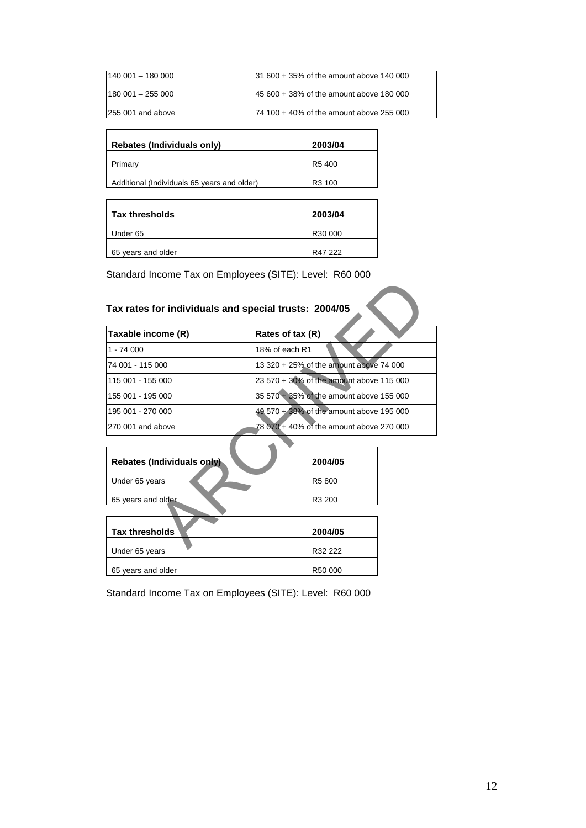| $140001 - 18000$   | $131600 + 35\%$ of the amount above 140 000 |
|--------------------|---------------------------------------------|
| 180 001 - 255 000  | 45 600 + 38% of the amount above 180 000    |
| 1255 001 and above | $174$ 100 + 40% of the amount above 255 000 |

| Rebates (Individuals only)                  | 2003/04            |
|---------------------------------------------|--------------------|
| Primary                                     | R <sub>5</sub> 400 |
| Additional (Individuals 65 years and older) | R <sub>3</sub> 100 |

| Tax thresholds     | 2003/04 |
|--------------------|---------|
| Under 65           | R30 000 |
| 65 years and older | R47 222 |

# **Tax rates for individuals and special trusts: 2004/05**

| Tax rates for individuals and special trusts: 2004/05 |                                          |  |  |
|-------------------------------------------------------|------------------------------------------|--|--|
| Taxable income (R)                                    | Rates of tax (R)                         |  |  |
| 1 - 74 000                                            | 18% of each R1                           |  |  |
| 74 001 - 115 000                                      | 13 320 + 25% of the amount above 74 000  |  |  |
| 115 001 - 155 000                                     | 23 570 + 30% of the amount above 115 000 |  |  |
| 155 001 - 195 000                                     | 35 570 + 35% of the amount above 155 000 |  |  |
| 195 001 - 270 000                                     | 49.570 + 38% of the amount above 195 000 |  |  |
| 270 001 and above                                     | 78 070 + 40% of the amount above 270 000 |  |  |
|                                                       |                                          |  |  |
| <b>Rebates (Individuals only)</b>                     | 2004/05                                  |  |  |
| Under 65 years                                        | R5 800                                   |  |  |
| 65 years and older                                    | R3 200                                   |  |  |
|                                                       |                                          |  |  |
| <b>Tax thresholds</b>                                 | 2004/05                                  |  |  |
| $1$ lador $CF$ $(0.0000)$                             | פפפ פפח                                  |  |  |

| <b>Rebates (Individuals only)</b> | 2004/05 |
|-----------------------------------|---------|
| Under 65 years                    | R5 800  |
|                                   |         |
| 65 years and older                | R3 200  |
|                                   |         |
|                                   |         |
| <b>Tax thresholds</b>             | 2004/05 |
|                                   |         |
| Under 65 years                    | R32 222 |
|                                   |         |
| 65 years and older                | R50 000 |

Standard Income Tax on Employees (SITE): Level: R60 000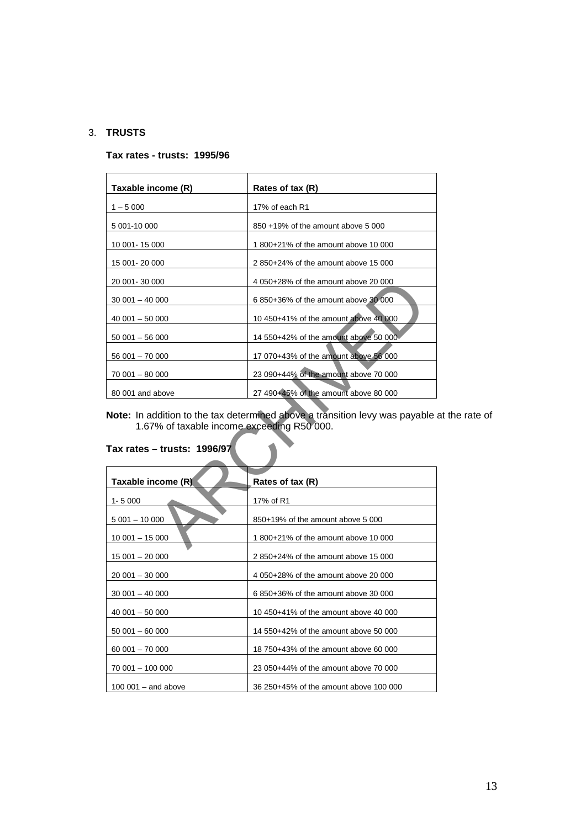# 3. **TRUSTS**

#### **Tax rates - trusts: 1995/96**

| Taxable income (R)                                                                                                                                         | Rates of tax (R)                      |  |  |
|------------------------------------------------------------------------------------------------------------------------------------------------------------|---------------------------------------|--|--|
| $1 - 5000$                                                                                                                                                 | 17% of each R1                        |  |  |
| 5 001-10 000                                                                                                                                               | 850 +19% of the amount above 5 000    |  |  |
| 10 001 - 15 000                                                                                                                                            | 1800+21% of the amount above 10 000   |  |  |
| 15 001 - 20 000                                                                                                                                            | 2850+24% of the amount above 15 000   |  |  |
| 20 001-30 000                                                                                                                                              | 4 050+28% of the amount above 20 000  |  |  |
| $30001 - 40000$                                                                                                                                            | 6 850+36% of the amount above 30 000  |  |  |
| $40001 - 50000$                                                                                                                                            | 10 450+41% of the amount above 40 000 |  |  |
| $50001 - 56000$                                                                                                                                            | 14 550+42% of the amount above 50 000 |  |  |
| 56 001 - 70 000                                                                                                                                            | 17 070+43% of the amount above 56 000 |  |  |
| 70 001 - 80 000                                                                                                                                            | 23 090+44% of the amount above 70 000 |  |  |
| 80 001 and above                                                                                                                                           | 27 490+45% of the amount above 80 000 |  |  |
| Note: In addition to the tax determined above a transition levy was payable a<br>1.67% of taxable income exceeding R50 000.<br>Tax rates - trusts: 1996/97 |                                       |  |  |
| Taxable income (R)                                                                                                                                         | Rates of tax (R)                      |  |  |
| $1 - 5000$                                                                                                                                                 | 17% of R1                             |  |  |
| $5001 - 10000$                                                                                                                                             | 850+19% of the amount above 5 000     |  |  |
| $10001 - 15000$                                                                                                                                            | 1800+21% of the amount above 10 000   |  |  |

**Note:** In addition to the tax determined above a transition levy was payable at the rate of 1.67% of taxable income exceeding R50 000.

| Taxable income (R)   | Rates of tax (R)                       |
|----------------------|----------------------------------------|
| $1 - 5000$           | 17% of R1                              |
| $5001 - 10000$       | 850+19% of the amount above 5 000      |
| $10001 - 15000$      | 1800+21% of the amount above 10 000    |
| $15001 - 20000$      | 2850+24% of the amount above 15 000    |
| $20001 - 30000$      | 4 050+28% of the amount above 20 000   |
| $30001 - 40000$      | 6850+36% of the amount above 30 000    |
| $40001 - 50000$      | 10 450+41% of the amount above 40 000  |
| $50001 - 60000$      | 14 550+42% of the amount above 50 000  |
| $60001 - 70000$      | 18 750+43% of the amount above 60 000  |
| 70 001 - 100 000     | 23 050+44% of the amount above 70 000  |
| $100001 -$ and above | 36 250+45% of the amount above 100 000 |

# **Tax rates – trusts: 1996/97**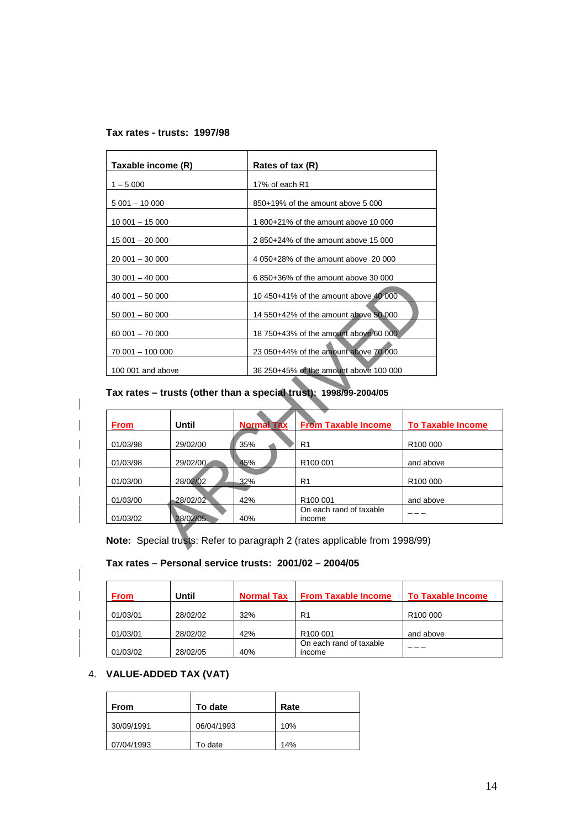## **Tax rates - trusts: 1997/98**

| Taxable income (R) | Rates of tax (R)                       |
|--------------------|----------------------------------------|
| $1 - 5000$         | 17% of each R1                         |
| $5001 - 10000$     | 850+19% of the amount above 5 000      |
| $10001 - 15000$    | 1800+21% of the amount above 10 000    |
| $15001 - 20000$    | 2850+24% of the amount above 15 000    |
| $20001 - 30000$    | 4 050+28% of the amount above 20 000   |
| $30001 - 40000$    | 6 850+36% of the amount above 30 000   |
| $40001 - 50000$    | 10 450+41% of the amount above 40 000  |
| $50001 - 60000$    | 14 550+42% of the amount above 50 000  |
| $60001 - 70000$    | 18 750+43% of the amount above 60 000  |
| 70 001 - 100 000   | 23 050+44% of the amount above 70 000  |
| 100 001 and above  | 36 250+45% of the amount above 100 000 |

# **Tax rates – trusts (other than a special trust): 1998/99-2004/05**

| $40001 - 50000$                              |                                                          |                   | 10 450+41% of the amount above 40 000                            |                          |
|----------------------------------------------|----------------------------------------------------------|-------------------|------------------------------------------------------------------|--------------------------|
|                                              | $50001 - 60000$                                          |                   | 14 550+42% of the amount above 50 000                            |                          |
|                                              | 18 750+43% of the amount above 60 000<br>$60001 - 70000$ |                   |                                                                  |                          |
| 70 001 - 100 000                             |                                                          |                   | 23 050+44% of the amount above 70 000                            |                          |
| 100 001 and above                            |                                                          |                   | 36 250+45% of the amount above 100 000                           |                          |
|                                              |                                                          |                   | Tax rates - trusts (other than a special trust): 1998/99-2004/05 |                          |
|                                              |                                                          |                   |                                                                  |                          |
|                                              |                                                          |                   |                                                                  |                          |
| <b>From</b>                                  | <b>Until</b>                                             | <b>Normal Tax</b> | <b>From Taxable Income</b>                                       | <b>To Taxable Income</b> |
|                                              | 29/02/00                                                 | 35%               | R <sub>1</sub>                                                   | R100 000                 |
|                                              | 29/02/00                                                 | 45%               | R100 001                                                         | and above                |
|                                              | 28/02/02                                                 | 32%               | R <sub>1</sub>                                                   | R <sub>100</sub> 000     |
| 01/03/98<br>01/03/98<br>01/03/00<br>01/03/00 | 28/02/02                                                 | 42%               | R <sub>100</sub> 001                                             | and above                |

# **Tax rates – Personal service trusts: 2001/02 – 2004/05**

| <b>From</b> | Until    | <b>Normal Tax</b> | <b>From Taxable Income</b>        | <b>To Taxable Income</b> |
|-------------|----------|-------------------|-----------------------------------|--------------------------|
| 01/03/01    | 28/02/02 | 32%               | R <sub>1</sub>                    | R <sub>100</sub> 000     |
| 01/03/01    | 28/02/02 | 42%               | R <sub>100</sub> 001              | and above                |
| 01/03/02    | 28/02/05 | 40%               | On each rand of taxable<br>income |                          |

# 4. **VALUE-ADDED TAX (VAT)**

| From       | To date    | Rate |
|------------|------------|------|
| 30/09/1991 | 06/04/1993 | 10%  |
| 07/04/1993 | To date    | 14%  |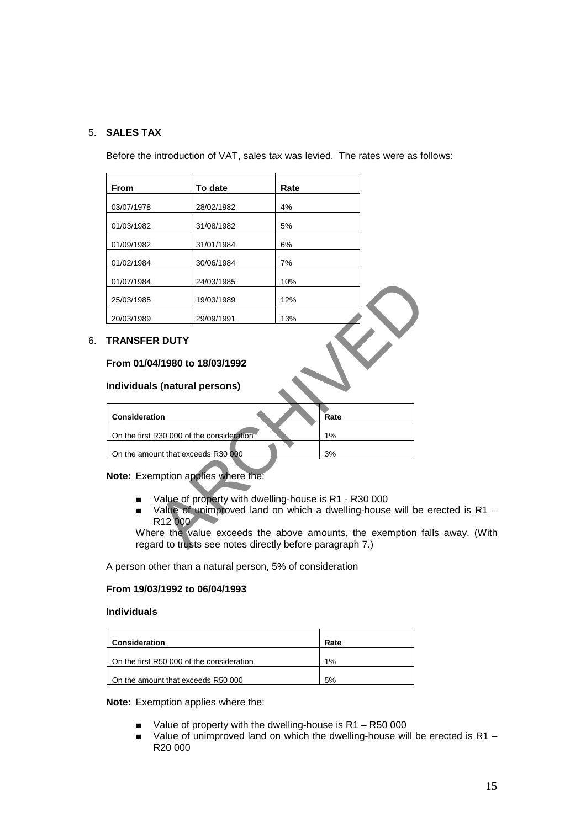# 5. **SALES TAX**

Before the introduction of VAT, sales tax was levied. The rates were as follows:

| <b>From</b>                   | To date    | Rate |  |
|-------------------------------|------------|------|--|
| 03/07/1978                    | 28/02/1982 | 4%   |  |
| 01/03/1982                    | 31/08/1982 | 5%   |  |
| 01/09/1982                    | 31/01/1984 | 6%   |  |
| 01/02/1984                    | 30/06/1984 | 7%   |  |
| 01/07/1984                    | 24/03/1985 | 10%  |  |
| 25/03/1985                    | 19/03/1989 | 12%  |  |
| 20/03/1989                    | 29/09/1991 | 13%  |  |
| <b>TRANSFER DUTY</b>          |            |      |  |
|                               |            |      |  |
| From 01/04/1980 to 18/03/1992 |            |      |  |
| Individuals (natural persons) |            |      |  |

# 6. **TRANSFER DUTY**

# **From 01/04/1980 to 18/03/1992**

#### **Individuals (natural persons)**

| <b>Consideration</b>                      | Rate |
|-------------------------------------------|------|
|                                           |      |
| On the first R30 000 of the consideration | 1%   |
|                                           |      |
| On the amount that exceeds R30 000        | 3%   |
|                                           |      |

**Note:** Exemption applies where the:

- Value of property with dwelling-house is R1 R30 000
- Value of unimproved land on which a dwelling-house will be erected is R1 R12 000

Where the value exceeds the above amounts, the exemption falls away. (With regard to trusts see notes directly before paragraph 7.)

A person other than a natural person, 5% of consideration

## **From 19/03/1992 to 06/04/1993**

# **Individuals**

| Consideration                             | Rate |
|-------------------------------------------|------|
| On the first R50 000 of the consideration | 1%   |
| On the amount that exceeds R50 000        | 5%   |

**Note:** Exemption applies where the:

- Value of property with the dwelling-house is R1 R50 000
- Value of unimproved land on which the dwelling-house will be erected is R1 R20 000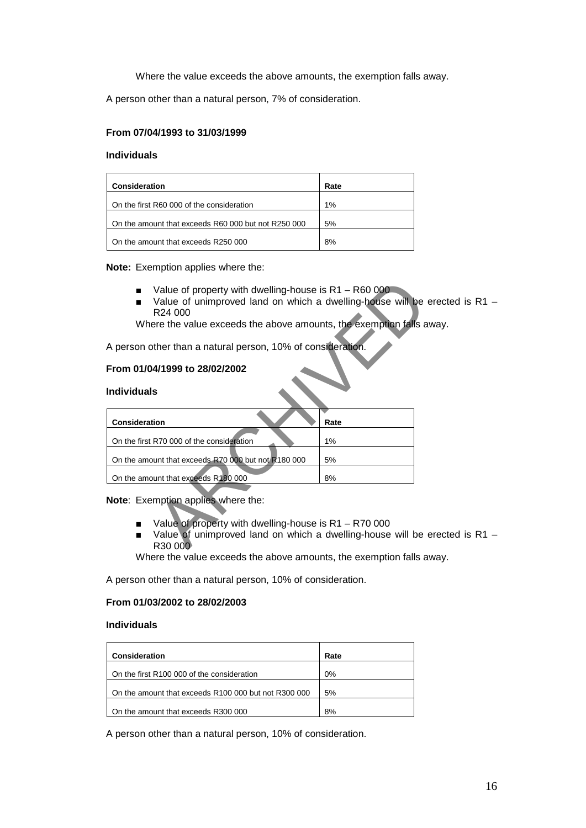Where the value exceeds the above amounts, the exemption falls away.

A person other than a natural person, 7% of consideration.

## **From 07/04/1993 to 31/03/1999**

## **Individuals**

| Consideration                                       | Rate |
|-----------------------------------------------------|------|
| On the first R60 000 of the consideration           | 1%   |
| On the amount that exceeds R60 000 but not R250 000 | 5%   |
| On the amount that exceeds R250 000                 | 8%   |

#### **Note:** Exemption applies where the:

- Value of property with dwelling-house is R1 R60 000
- Value of unimproved land on which a dwelling-house will be erected is R1 R24 000

Where the value exceeds the above amounts, the exemption falls away.

## **From 01/04/1999 to 28/02/2002**

#### **Individuals**

| Value of property with dwelling-house is R1 - R60 000<br>Value of unimproved land on which a dwelling-house will be<br>R <sub>24</sub> 000<br>Where the value exceeds the above amounts, the exemption falls a |      |
|----------------------------------------------------------------------------------------------------------------------------------------------------------------------------------------------------------------|------|
| A person other than a natural person, 10% of consideration.                                                                                                                                                    |      |
| From 01/04/1999 to 28/02/2002<br><b>Individuals</b>                                                                                                                                                            |      |
| <b>Consideration</b>                                                                                                                                                                                           | Rate |
| On the first R70 000 of the consideration                                                                                                                                                                      | 1%   |
| On the amount that exceeds R70 000 but not R180 000                                                                                                                                                            | 5%   |
| On the amount that exceeds R180 000                                                                                                                                                                            | 8%   |
| Note: Exemption applies where the:<br>Value of property with dwelling-house is $R1 - R70000$<br>Value of unimproved land on which a dwelling-house will be<br>▬<br>R30 00 <sup>0</sup>                         |      |

# **Note**: Exemption applies where the:

- Value of property with dwelling-house is R1 R70 000
- Value of unimproved land on which a dwelling-house will be erected is R1 R30 000

Where the value exceeds the above amounts, the exemption falls away.

A person other than a natural person, 10% of consideration.

#### **From 01/03/2002 to 28/02/2003**

#### **Individuals**

| Consideration                                        | Rate |
|------------------------------------------------------|------|
| On the first R100 000 of the consideration           | 0%   |
| On the amount that exceeds R100 000 but not R300 000 | 5%   |
| On the amount that exceeds R300 000                  | 8%   |

A person other than a natural person, 10% of consideration.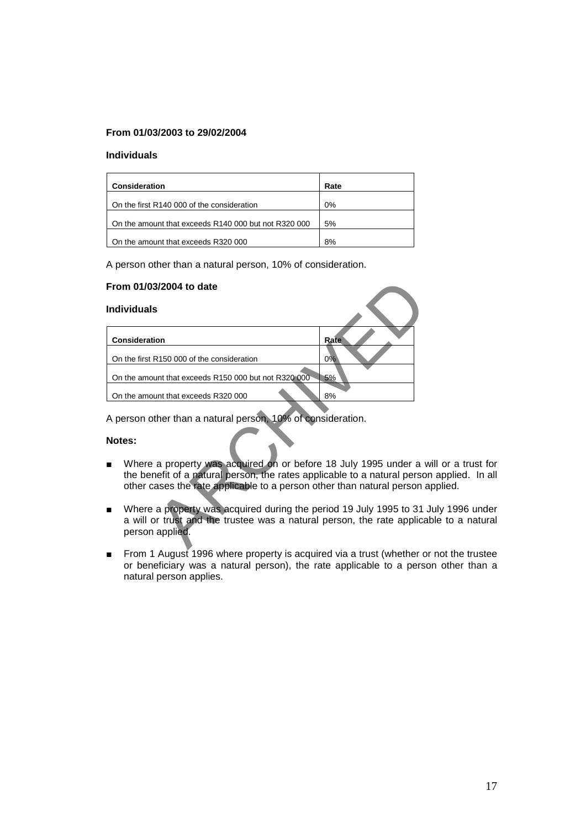# **From 01/03/2003 to 29/02/2004**

#### **Individuals**

| Consideration                                        | Rate  |
|------------------------------------------------------|-------|
| On the first R140 000 of the consideration           | $0\%$ |
| On the amount that exceeds R140 000 but not R320 000 | 5%    |
| On the amount that exceeds R320 000                  | 8%    |

A person other than a natural person, 10% of consideration.

#### **From 01/03/2004 to date**

#### **Individuals**

|                | From 01/03/2004 to date                                                                                                                                                                                                |      |
|----------------|------------------------------------------------------------------------------------------------------------------------------------------------------------------------------------------------------------------------|------|
|                | <b>Individuals</b>                                                                                                                                                                                                     |      |
|                | Consideration                                                                                                                                                                                                          | Rate |
|                | On the first R150 000 of the consideration                                                                                                                                                                             | 0%   |
|                | On the amount that exceeds R150 000 but not R320 000                                                                                                                                                                   | 5%   |
|                | On the amount that exceeds R320 000                                                                                                                                                                                    | 8%   |
|                | A person other than a natural person, 10% of consideration.                                                                                                                                                            |      |
|                | Notes:                                                                                                                                                                                                                 |      |
|                | Where a property was acquired on or before 18 July 1995 under a<br>the benefit of a natural person, the rates applicable to a natural perso<br>other cases the rate applicable to a person other than natural person a |      |
| $\blacksquare$ | Where a property was acquired during the period 19 July 1995 to 31<br>a will or trust and the trustee was a natural person, the rate applica<br>person applied.                                                        |      |
|                |                                                                                                                                                                                                                        |      |

#### **Notes:**

- Where a property was acquired on or before 18 July 1995 under a will or a trust for the benefit of a natural person, the rates applicable to a natural person applied. In all other cases the rate applicable to a person other than natural person applied.
- Where a property was acquired during the period 19 July 1995 to 31 July 1996 under a will or trust and the trustee was a natural person, the rate applicable to a natural person applied.
- From 1 August 1996 where property is acquired via a trust (whether or not the trustee or beneficiary was a natural person), the rate applicable to a person other than a natural person applies.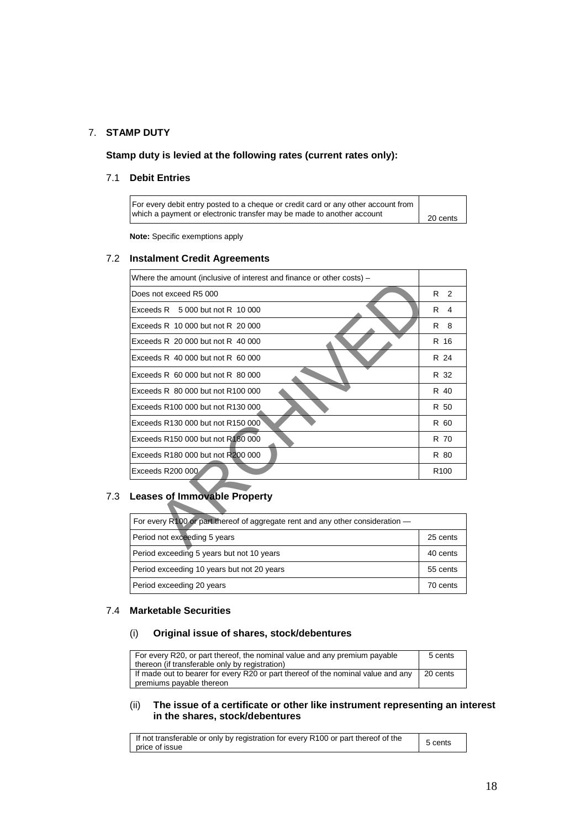# 7. **STAMP DUTY**

**Stamp duty is levied at the following rates (current rates only):**

# 7.1 **Debit Entries**

| For every debit entry posted to a cheque or credit card or any other account from<br>which a payment or electronic transfer may be made to another account |          |
|------------------------------------------------------------------------------------------------------------------------------------------------------------|----------|
|                                                                                                                                                            | 20 cents |

**Note:** Specific exemptions apply

### 7.2 **Instalment Credit Agreements**

| Where the amount (inclusive of interest and finance or other costs) -          |                    |
|--------------------------------------------------------------------------------|--------------------|
| Does not exceed R5 000                                                         | R<br>$\mathcal{P}$ |
| Exceeds $R = 5000$ but not $R = 10000$                                         | R<br>4             |
| Exceeds R 10 000 but not R 20 000                                              | R<br>8             |
| Exceeds R 20 000 but not R 40 000                                              | R 16               |
| Exceeds $R$ 40 000 but not $R$ 60 000                                          | R 24               |
| Exceeds $R$ 60 000 but not $R$ 80 000                                          | R 32               |
| Exceeds R 80 000 but not R100 000                                              | R 40               |
| Exceeds R100 000 but not R130 000                                              | R 50               |
| Exceeds R130 000 but not R150 000                                              | R 60               |
| Exceeds R150 000 but not R180 000                                              | R 70               |
| Exceeds R180 000 but not R200 000                                              | R 80               |
| Exceeds R200 000                                                               | R <sub>100</sub>   |
| <b>Leases of Immovable Property</b>                                            |                    |
| For every R100 or part thereof of aggregate rent and any other consideration - |                    |
| Period not exceeding 5 years                                                   | 25 cents           |
|                                                                                |                    |

# 7.3 **Leases of Immovable Property**

| For every R100 or part thereof of aggregate rent and any other consideration - |          |
|--------------------------------------------------------------------------------|----------|
| Period not exceeding 5 years                                                   | 25 cents |
| Period exceeding 5 years but not 10 years                                      | 40 cents |
| Period exceeding 10 years but not 20 years                                     | 55 cents |
| Period exceeding 20 years                                                      | 70 cents |

## 7.4 **Marketable Securities**

# (i) **Original issue of shares, stock/debentures**

| For every R20, or part thereof, the nominal value and any premium payable                                    | 5 cents  |
|--------------------------------------------------------------------------------------------------------------|----------|
| thereon (if transferable only by registration)                                                               |          |
| If made out to bearer for every R20 or part thereof of the nominal value and any<br>premiums payable thereon | 20 cents |

#### (ii) **The issue of a certificate or other like instrument representing an interest in the shares, stock/debentures**

| If not transferable or only by registration for every R100 or part thereof of the<br>price of issue | 5 cents |
|-----------------------------------------------------------------------------------------------------|---------|
|-----------------------------------------------------------------------------------------------------|---------|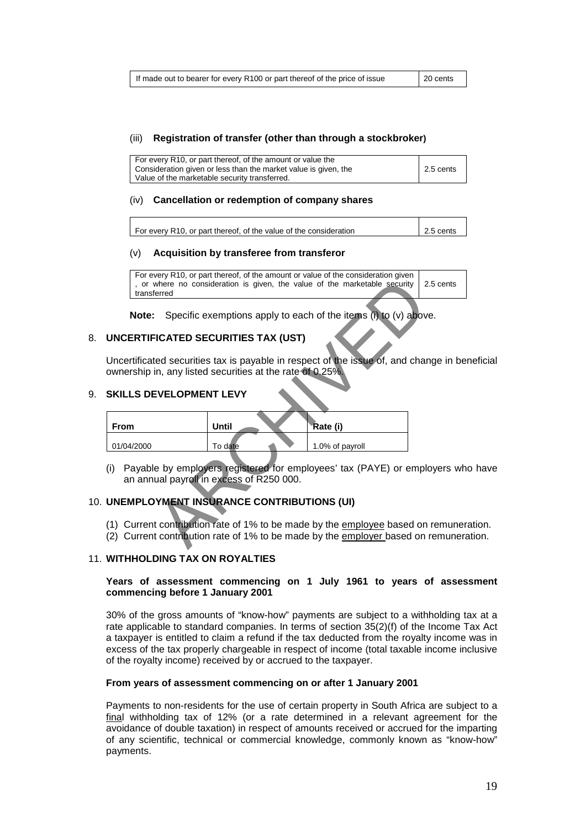#### (iii) **Registration of transfer (other than through a stockbroker)**

| For every R10, or part thereof, of the amount or value the<br>Consideration given or less than the market value is given, the | 2.5 cents |
|-------------------------------------------------------------------------------------------------------------------------------|-----------|
| Value of the marketable security transferred.                                                                                 |           |

#### (iv) **Cancellation or redemption of company shares**

| For every R10, or part thereof, of the value of the consideration | $\vert$ 2.5 cents |
|-------------------------------------------------------------------|-------------------|
|-------------------------------------------------------------------|-------------------|

#### (v) **Acquisition by transferee from transferor**

| For every R10, or part thereof, of the amount or value of the consideration given    |  |
|--------------------------------------------------------------------------------------|--|
| , or where no consideration is given, the value of the marketable security 2.5 cents |  |
| transferred                                                                          |  |

## 8. **UNCERTIFICATED SECURITIES TAX (UST)**

Uncertificated securities tax is payable in respect of the issue of, and change in beneficial ownership in, any listed securities at the rate of 0.25%.

#### 9. **SKILLS DEVELOPMENT LEVY**

|                                                                                                                                                       | , or where no consideration is given, the value of the marketable security<br>transferred |         |                 |  |  |
|-------------------------------------------------------------------------------------------------------------------------------------------------------|-------------------------------------------------------------------------------------------|---------|-----------------|--|--|
|                                                                                                                                                       | Specific exemptions apply to each of the items (i) to (v) above<br>Note:                  |         |                 |  |  |
|                                                                                                                                                       | <b>UNCERTIFICATED SECURITIES TAX (UST)</b>                                                |         |                 |  |  |
| Uncertificated securities tax is payable in respect of the issue of, and cha<br>ownership in, any listed securities at the rate of 0.25%.             |                                                                                           |         |                 |  |  |
| <b>SKILLS DEVELOPMENT LEVY</b>                                                                                                                        |                                                                                           |         |                 |  |  |
|                                                                                                                                                       | <b>From</b>                                                                               | Until   | Rate (i)        |  |  |
|                                                                                                                                                       | 01/04/2000                                                                                | To date | 1.0% of payroll |  |  |
| Payable by employers registered for employees' tax (PAYE) or empl<br>(i)<br>an annual payroll in excess of R250 000.                                  |                                                                                           |         |                 |  |  |
| UNEMPLOYMENT INSURANCE CONTRIBUTIONS (UI)                                                                                                             |                                                                                           |         |                 |  |  |
| (1) Current contribution rate of 1% to be made by the employee based or<br>Current contribution rate of 1% to be made by the employer based on<br>(2) |                                                                                           |         |                 |  |  |

 (i) Payable by employers registered for employees' tax (PAYE) or employers who have an annual payroll in excess of R250 000.

#### 10. **UNEMPLOYMENT INSURANCE CONTRIBUTIONS (UI)**

- (1) Current contribution rate of 1% to be made by the employee based on remuneration.
- (2) Current contribution rate of 1% to be made by the employer based on remuneration.

#### 11. **WITHHOLDING TAX ON ROYALTIES**

#### **Years of assessment commencing on 1 July 1961 to years of assessment commencing before 1 January 2001**

30% of the gross amounts of "know-how" payments are subject to a withholding tax at a rate applicable to standard companies. In terms of section 35(2)(f) of the Income Tax Act a taxpayer is entitled to claim a refund if the tax deducted from the royalty income was in excess of the tax properly chargeable in respect of income (total taxable income inclusive of the royalty income) received by or accrued to the taxpayer.

#### **From years of assessment commencing on or after 1 January 2001**

Payments to non-residents for the use of certain property in South Africa are subject to a final withholding tax of 12% (or a rate determined in a relevant agreement for the avoidance of double taxation) in respect of amounts received or accrued for the imparting of any scientific, technical or commercial knowledge, commonly known as "know-how" payments.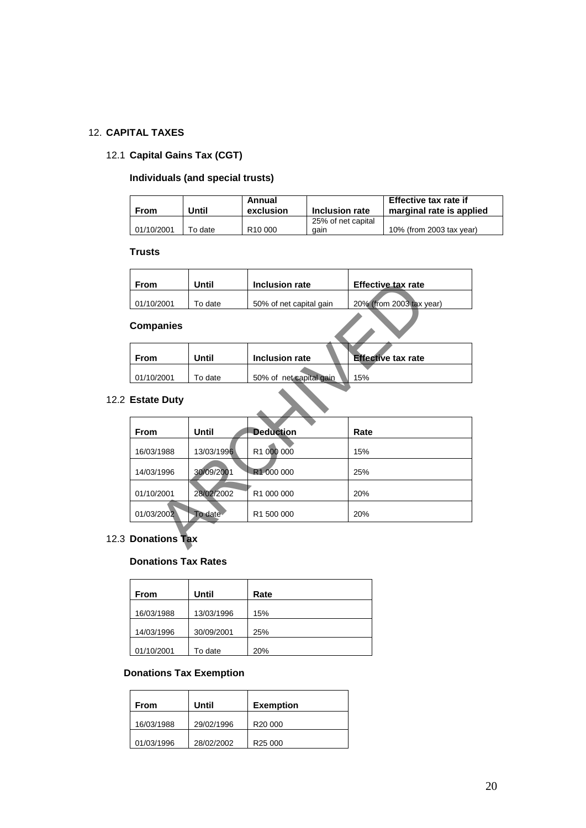# 12. **CAPITAL TAXES**

# 12.1 **Capital Gains Tax (CGT)**

# **Individuals (and special trusts)**

| <b>From</b> | Until   | Annual<br>exclusion | Inclusion rate             | Effective tax rate if<br>marginal rate is applied |
|-------------|---------|---------------------|----------------------------|---------------------------------------------------|
| 01/10/2001  | ⊺o date | R <sub>10</sub> 000 | 25% of net capital<br>aain | 10% (from 2003 tax year)                          |

#### **Trusts**

| From       | Until   | Inclusion rate          | Effective tax rate       |
|------------|---------|-------------------------|--------------------------|
| 01/10/2001 | To date | 50% of net capital gain | 20% (from 2003 tax year) |

# **Companies**

| <b>From</b> | Until   | Inclusion rate          | <b>Effective tax rate</b> |
|-------------|---------|-------------------------|---------------------------|
| 01/10/2001  | To date | 50% of net capital gain | 15%                       |
|             |         |                         |                           |

# 12.2 **Estate Duty**

| <b>From</b>          | Until        | <b>Inclusion rate</b>   | <b>Effective tax rate</b> |  |
|----------------------|--------------|-------------------------|---------------------------|--|
| 01/10/2001           | To date      | 50% of net capital gain | 20% (from 2003 tax year)  |  |
| <b>Companies</b>     |              |                         |                           |  |
| <b>From</b>          | <b>Until</b> | <b>Inclusion rate</b>   | <b>Effective tax rate</b> |  |
| 01/10/2001           | To date      | 50% of net capital gain | 15%                       |  |
| <b>Estate Duty</b>   |              |                         |                           |  |
| <b>From</b>          | <b>Until</b> | <b>Deduction</b>        | Rate                      |  |
| 16/03/1988           | 13/03/1996   | R1 000 000              | 15%                       |  |
| 14/03/1996           | 30/09/2001   | R1 000 000              | 25%                       |  |
| 01/10/2001           | 28/02/2002   | R1 000 000              | 20%                       |  |
| 01/03/2002           | To date      | R1 500 000              | 20%                       |  |
| <b>Donations Tax</b> |              |                         |                           |  |

# 12.3 **Donations Tax**

# **Donations Tax Rates**

| <b>From</b> | Until      | Rate |
|-------------|------------|------|
| 16/03/1988  | 13/03/1996 | 15%  |
| 14/03/1996  | 30/09/2001 | 25%  |
| 01/10/2001  | To date    | 20%  |

# **Donations Tax Exemption**

| From       | Until      | <b>Exemption</b>    |
|------------|------------|---------------------|
| 16/03/1988 | 29/02/1996 | R <sub>20</sub> 000 |
| 01/03/1996 | 28/02/2002 | R <sub>25</sub> 000 |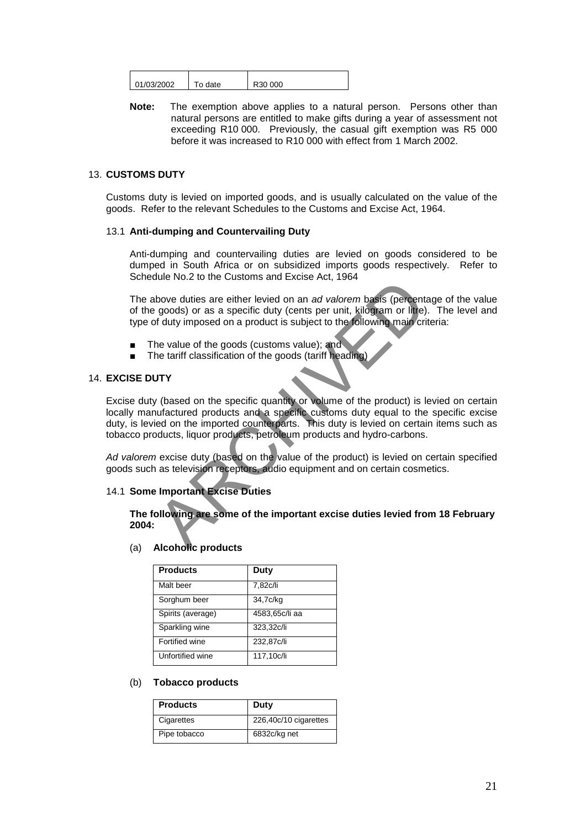| 01/03/2002<br>:30 000 |      |  |
|-----------------------|------|--|
|                       | date |  |

**Note:** The exemption above applies to a natural person. Persons other than natural persons are entitled to make gifts during a year of assessment not exceeding R10 000. Previously, the casual gift exemption was R5 000 before it was increased to R10 000 with effect from 1 March 2002.

## 13. **CUSTOMS DUTY**

Customs duty is levied on imported goods, and is usually calculated on the value of the goods. Refer to the relevant Schedules to the Customs and Excise Act, 1964.

#### 13.1 **Anti-dumping and Countervailing Duty**

Anti-dumping and countervailing duties are levied on goods considered to be dumped in South Africa or on subsidized imports goods respectively. Refer to Schedule No.2 to the Customs and Excise Act, 1964

The above duties are either levied on an *ad valorem* basis (percentage of the value of the goods) or as a specific duty (cents per unit, kilogram or litre). The level and type of duty imposed on a product is subject to the following main criteria:

- The value of the goods (customs value); and
- The tariff classification of the goods (tariff heading)

### 14. **EXCISE DUTY**

Excise duty (based on the specific quantity or volume of the product) is levied on certain locally manufactured products and a specific customs duty equal to the specific excise duty, is levied on the imported counterparts. This duty is levied on certain items such as tobacco products, liquor products, petroleum products and hydro-carbons. State Hold care either levied on an ad valorem basis (percent<br>goods) or as a specific duty (cents per unit, kilogram or litte)<br>of duty imposed on a product is subject to the following main cri-<br>the value of the goods (cust

*Ad valorem* excise duty (based on the value of the product) is levied on certain specified goods such as television receptors, audio equipment and on certain cosmetics.

# 14.1 **Some Important Excise Duties**

**The following are some of the important excise duties levied from 18 February 2004:**

(a) **Alcoholic products**

| <b>Products</b>   | Duty           |
|-------------------|----------------|
| Malt beer         | 7,82c/li       |
| Sorghum beer      | 34,7c/kg       |
| Spirits (average) | 4583,65c/li aa |
| Sparkling wine    | 323,32c/li     |
| Fortified wine    | 232,87c/li     |
| Unfortified wine  | 117,10c/li     |

#### (b) **Tobacco products**

| <b>Products</b> | Duty                  |
|-----------------|-----------------------|
| Cigarettes      | 226,40c/10 cigarettes |
| Pipe tobacco    | 6832c/kg net          |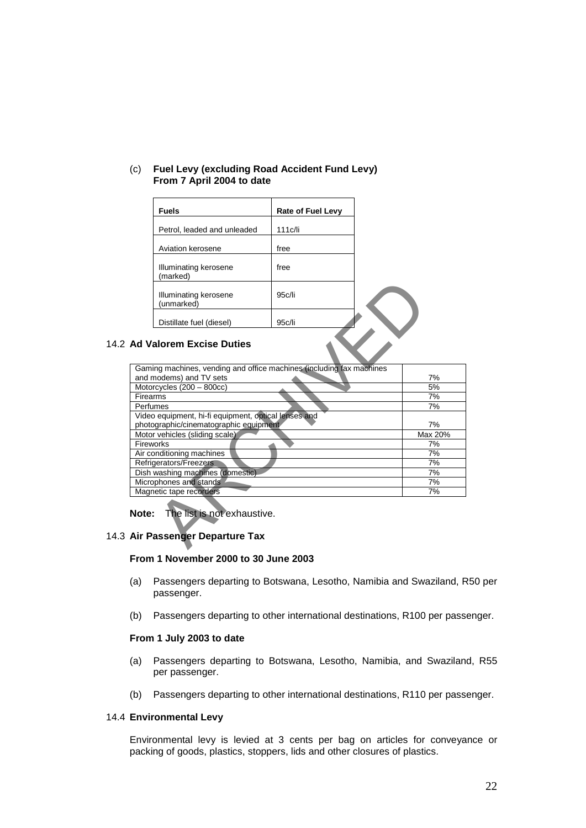| <b>Fuels</b>                        | <b>Rate of Fuel Levy</b> |  |
|-------------------------------------|--------------------------|--|
| Petrol, leaded and unleaded         | 111c/li                  |  |
| Aviation kerosene                   | free                     |  |
| Illuminating kerosene<br>(marked)   | free                     |  |
| Illuminating kerosene<br>(unmarked) | 95c/li                   |  |
| Distillate fuel (diesel)            | 95c/li                   |  |

## (c) **Fuel Levy (excluding Road Accident Fund Levy) From 7 April 2004 to date**

### 14.2 **Ad Valorem Excise Duties**

|          | Illuminating kerosene<br>(unmarked)                                     | 95c/li |         |
|----------|-------------------------------------------------------------------------|--------|---------|
|          | Distillate fuel (diesel)                                                | 95c/li |         |
|          | <b>Ad Valorem Excise Duties</b>                                         |        |         |
|          | Gaming machines, vending and office machines (including fax machines    |        |         |
|          | and modems) and TV sets                                                 |        | 7%      |
|          | Motorcycles (200 - 800cc)                                               |        | 5%      |
| Firearms |                                                                         |        | 7%      |
|          | Perfumes                                                                |        | 7%      |
|          | Video equipment, hi-fi equipment, optical lenses and                    |        |         |
|          | photographic/cinematographic equipment                                  |        | 7%      |
|          | Motor vehicles (sliding scale)                                          |        | Max 20% |
|          | Fireworks                                                               |        | 7%      |
|          | Air conditioning machines                                               |        | 7%      |
|          | Refrigerators/Freezers                                                  |        | 7%      |
|          | Dish washing machines (domestic)                                        |        | 7%      |
|          | Microphones and stands                                                  |        | 7%      |
|          | Magnetic tape recorders                                                 |        | 7%      |
|          | <b>Note:</b> The list is not exhaustive.<br>Air Passenger Departure Tax |        |         |

#### 14.3 **Air Passenger Departure Tax**

#### **From 1 November 2000 to 30 June 2003**

- (a) Passengers departing to Botswana, Lesotho, Namibia and Swaziland, R50 per passenger.
- (b) Passengers departing to other international destinations, R100 per passenger.

#### **From 1 July 2003 to date**

- (a) Passengers departing to Botswana, Lesotho, Namibia, and Swaziland, R55 per passenger.
- (b) Passengers departing to other international destinations, R110 per passenger.

### 14.4 **Environmental Levy**

Environmental levy is levied at 3 cents per bag on articles for conveyance or packing of goods, plastics, stoppers, lids and other closures of plastics.